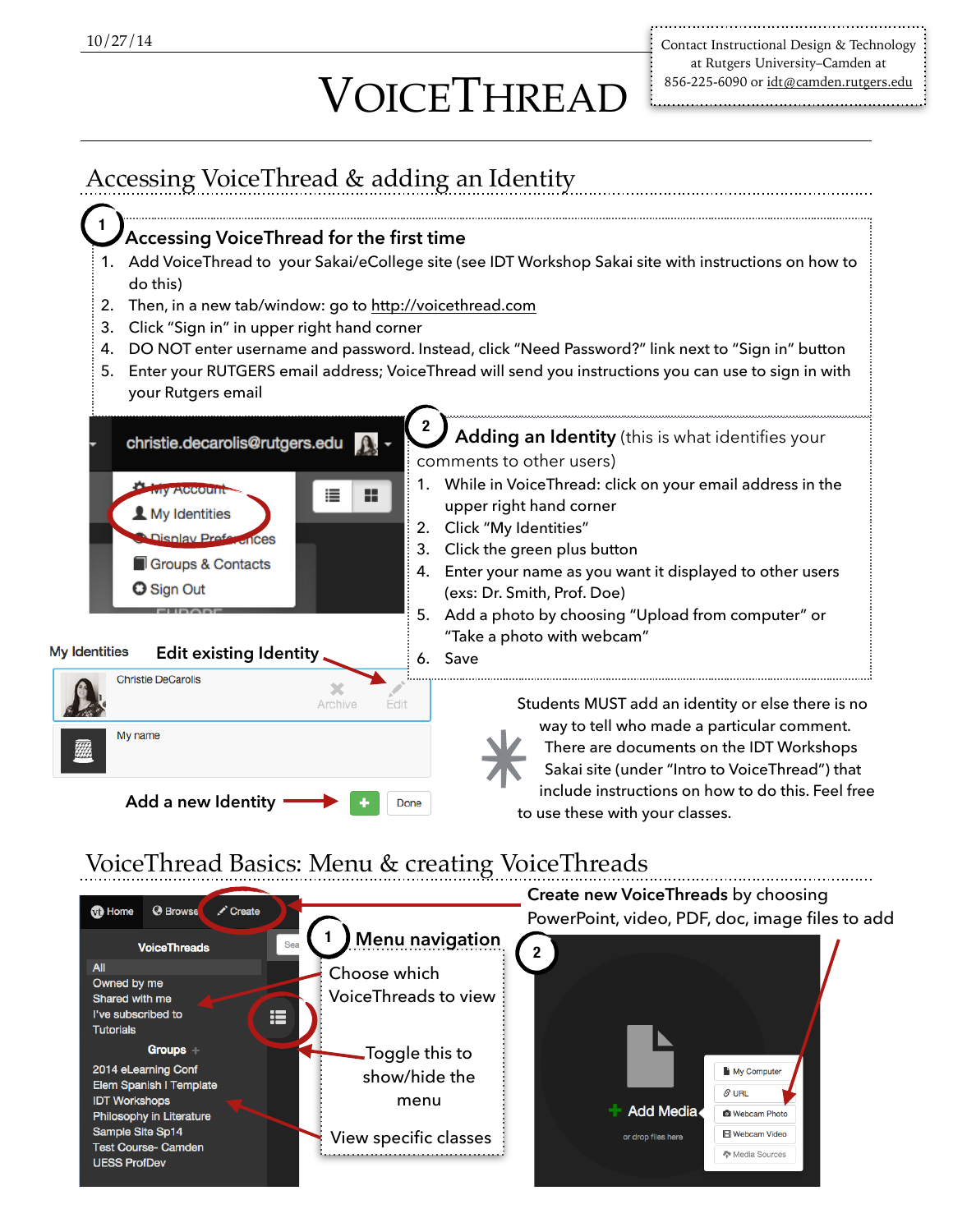## VOICETHREAD

Contact Instructional Design & Technology at Rutgers University–Camden at 856-225-6090 or [idt@camden.rutgers.edu](mailto:idt@camden.rutgers.edu)